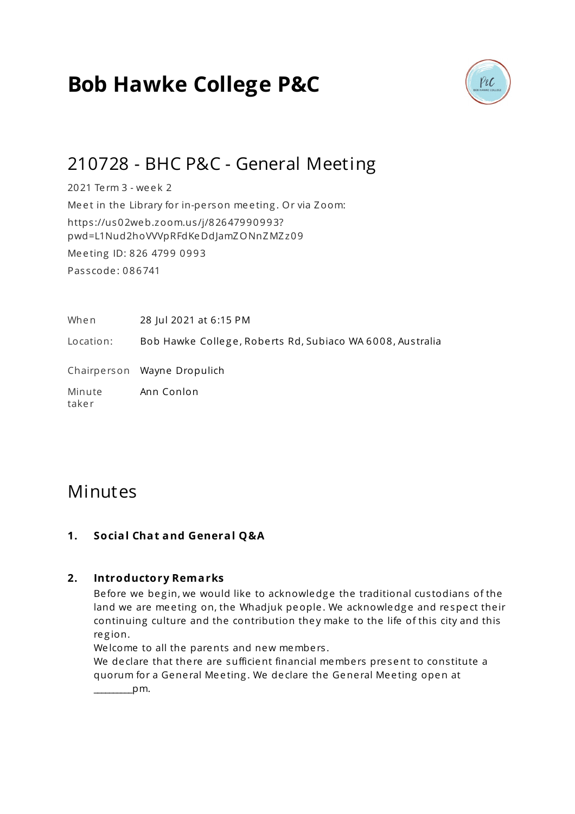# **Bob Hawke College P&C**



# 210728 - BHC P&C - General Meeting

2021 Te rm 3 - we e k 2 Meet in the Library for in-person meeting. Or via Zoom: https ://us02web.zoom.us /j/82647990993? pwd=L1Nud2hoVVVpRFdKeDdJamZONnZMZz09 Me e ting ID: 826 4799 0993 Pas s code : 086741

When 28 Jul 2021 at 6:15 PM

Location: Bob Hawke College, Roberts Rd, Subiaco WA 6008, Australia

Chairpe rson Wayne Dropulich

Minute take r Ann Conlon

## Minutes

### **1. Social Chat and General Q&A**

#### **2. Introductory Remarks**

Before we begin, we would like to acknowledge the traditional custodians of the land we are meeting on, the Whadjuk people. We acknowledge and respect their continuing culture and the contribution they make to the life of this city and this re g ion.

We lcome to all the parents and new members.

We declare that there are sufficient financial members present to constitute a quorum for a General Meeting. We declare the General Meeting open at  $\begin{array}{ccc} & & \text{pm.} \end{array}$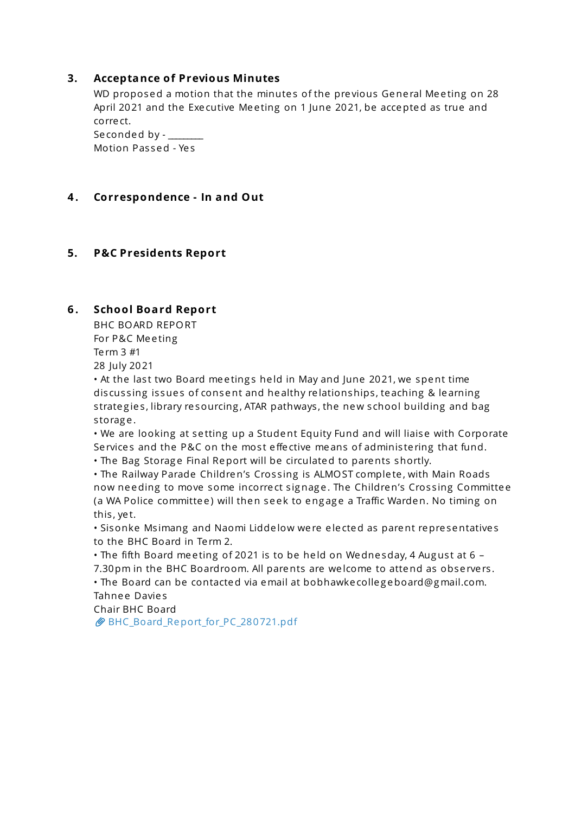#### **3. Acceptance of Previous Minutes**

WD proposed a motion that the minutes of the previous General Meeting on 28 April 2021 and the Executive Meeting on 1 June 2021, be accepted as true and corre ct.

Seconded by -Motion Pas sed - Ye s

#### **4 . Correspondence - In and Out**

#### **5. P&C Presidents Report**

#### **6 . School Board Report**

BHC BOARD REPORT For P&C Me e ting Te rm 3 #1 28 July 2021

• At the last two Board meetings held in May and June 2021, we spent time discussing issues of consent and healthy relationships, teaching & learning strategies, library resourcing, ATAR pathways, the new school building and bag s torag e .

• We are looking at se tting up a Student Equity Fund and will liaise with Corporate Services and the P&C on the most effective means of administering that fund.

• The Bag Storage Final Report will be circulated to parents shortly.

• The Railway Parade Children's Crossing is ALMOST complete, with Main Roads now needing to move some incorrect signage. The Children's Crossing Committee (a WA Police committee) will then seek to engage a Traffic Warden. No timing on this , ye t.

• Sisonke Msimang and Naomi Liddelow were elected as parent representatives to the BHC Board in Te rm 2.

• The fifth Board meeting of 2021 is to be held on Wednesday, 4 August at 6 -7.30pm in the BHC Boardroom. All parents are welcome to attend as observers. • The Board can be contacted via email at bobhawke colle g eboard@g mail.com.

Tahnee Davies

Chair BHC Board

BHC\_Board\_Report\_for\_PC\_280721.pdf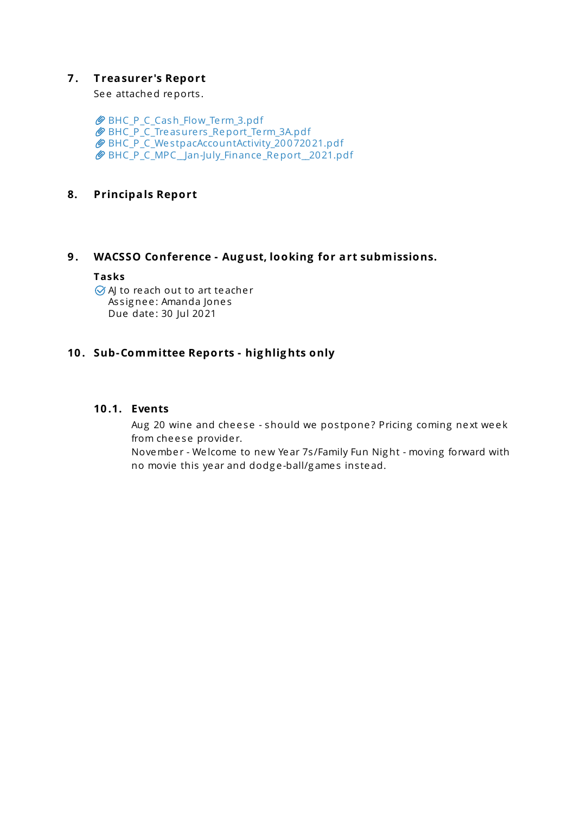#### **7 . T reasurer's Report**

See attached reports.

BHC\_P\_C\_Cash\_Flow\_Te rm\_3.pdf BHC\_P\_C\_Tre asure rs \_Report\_Te rm\_3A.pdf BHC P C We stpacAccountActivity 20072021.pdf BHC\_P\_C\_MPC\_\_Jan-July\_Finance \_Report\_\_2021.pdf

#### **8. Principals Report**

#### **9 . WACSSO Conference - Aug ust, looking for art submissions.**

#### **Tasks**

 $\oslash$  AJ to reach out to art teacher Assignee: Amanda Jones Due date : 30 Jul 2021

#### **10 . Sub-Committee Reports - hig hlig hts only**

#### **10 .1. Events**

Aug 20 wine and cheese - should we postpone? Pricing coming next week from cheese provider.

November - Welcome to new Year 7s/Family Fun Night - moving forward with no movie this year and dodge-ball/games instead.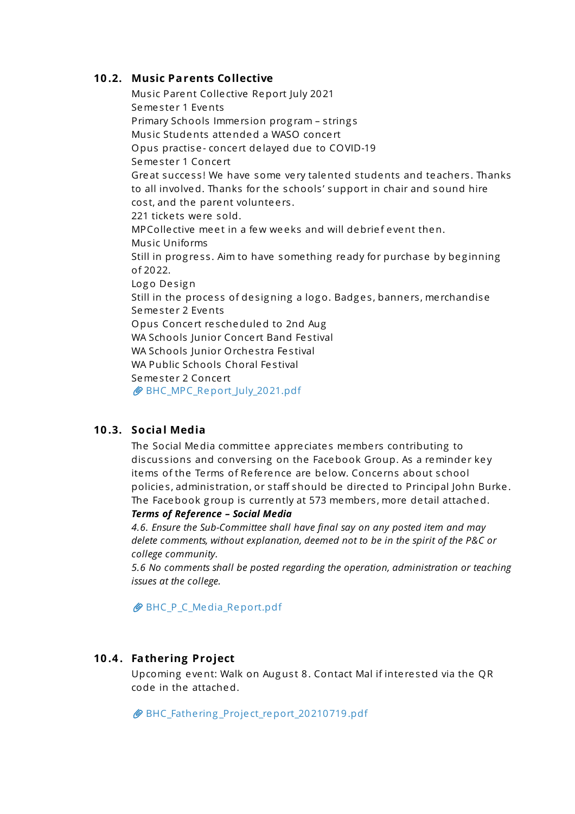#### **10 .2. Music Parents Collective**

Music Parent Collective Report July 2021 Seme ster 1 Events Primary Schools Immersion program - strings Mus ic Students attended a WASO conce rt Opus practise - conce rt de layed due to COVID-19 Semester 1 Concert Great success! We have some very talented students and teachers. Thanks to all involved. Thanks for the s chools ' support in chair and sound hire cost, and the parent volunteers. 221 tickets were sold.  $MPCo$  lective meet in a few weeks and will debrief event then. Mus ic Uniforms Still in progress. Aim to have something ready for purchase by beginning of 2022. Logo Design Still in the process of designing a logo. Badges, banners, merchandise Seme ster 2 Events Opus Concert rescheduled to 2nd Aug WA Schools Junior Concert Band Festival WA Schools Junior Orchestra Festival WA Public Schools Choral Festival Seme ster 2 Concert BHC\_MPC\_Report\_July\_2021.pdf

#### **10 .3. Social Media**

The Social Media committee appreciates members contributing to discussions and conversing on the Facebook Group. As a reminder key items of the Te rms of Re fe rence are be low. Conce rns about s chool policie s , adminis tration, or s taff should be dire cted to Principal John Burke . The Facebook group is currently at 573 members, more detail attached.

#### *Terms of Reference – Social Media*

*4.6. Ensure the Sub-Committee shall have final say on any posted item and may delete comments, without explanation, deemed not to be in the spirit of the P&C or college community.*

*5.6 No comments shall be posted regarding the operation, administration or teaching issues at the college.*

BHC\_P\_C\_Media\_Report.pdf

#### **10 .4 . Fathering Project**

Upcoming event: Walk on August 8. Contact Mal if interested via the OR code in the attached.

BHC Fathering Project report 20210719.pdf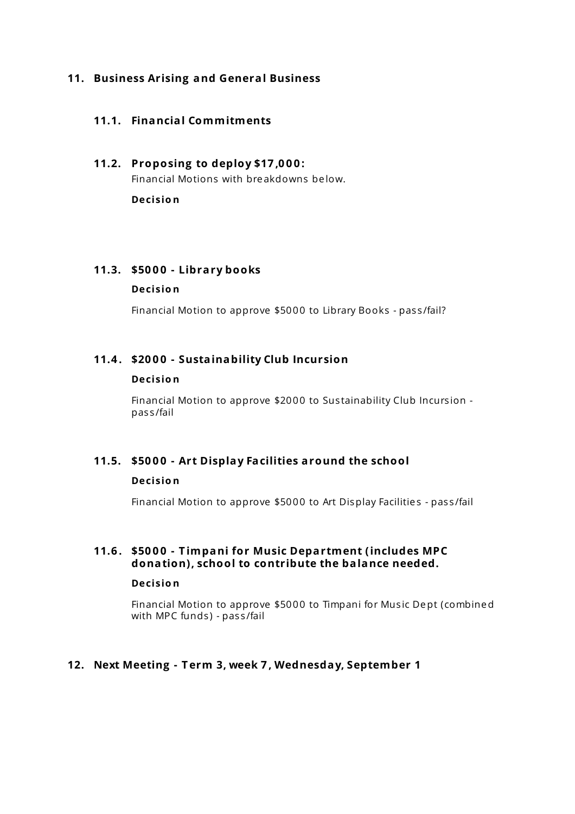#### **11. Business Arising and General Business**

#### **11.1. Financial Commitments**

## **11.2. Proposing to deploy \$17 ,0 0 0 :** Financial Motions with bre akdowns be low.

**Decisio n**

#### **11.3. \$50 0 0 - Library books**

#### **Decisio n**

Financial Motion to approve \$5000 to Library Books - pass/fail?

#### **11.4 . \$20 0 0 - Sustainability Club Incursion**

#### **Decisio n**

Financial Motion to approve \$2000 to Sustainability Club Incursion pas s /fail

### **11.5. \$50 0 0 - Art Display Facilities around the school Decisio n**

Financial Motion to approve \$5000 to Art Display Facilities - pass/fail

#### **11.6 . \$50 0 0 - T impani for Music Department (includes MPC donation), school to contribute the balance needed.**

#### **Decisio n**

Financial Motion to approve \$5000 to Timpani for Music Dept (combined with MPC funds) - pass/fail

#### **12. Next Meeting - T erm 3, week 7 , Wednesday, September 1**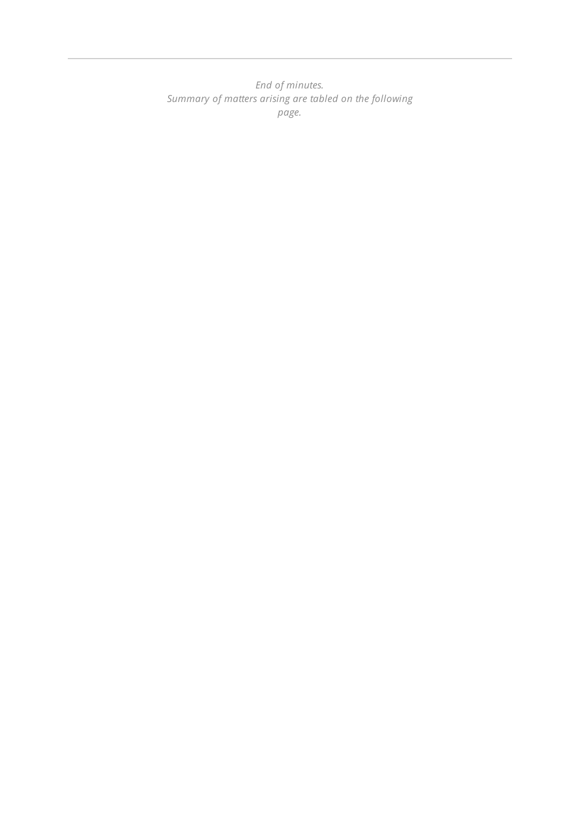*End of minutes. Summary of matters arising are tabled on the following page.*